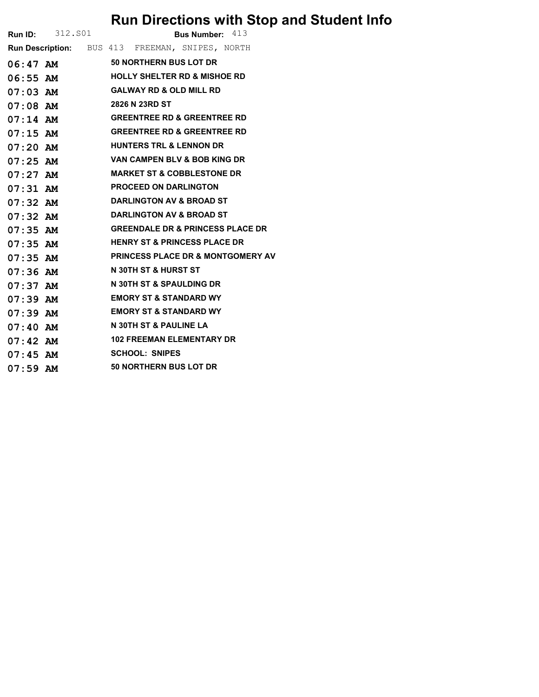## Run Directions with Stop and Student Info

|            | <b>Run ID:</b> 312.501 |  |                                                 | <b>Bus Number: 413</b> |                                              |
|------------|------------------------|--|-------------------------------------------------|------------------------|----------------------------------------------|
|            |                        |  | Run Description: BUS 413 FREEMAN, SNIPES, NORTH |                        |                                              |
|            |                        |  | 06:47 AM 50 NORTHERN BUS LOT DR                 |                        |                                              |
|            | $06:55$ AM             |  | <b>HOLLY SHELTER RD &amp; MISHOE RD</b>         |                        |                                              |
| 07:03 AM   |                        |  | <b>GALWAY RD &amp; OLD MILL RD</b>              |                        |                                              |
| 07:08 AM   |                        |  | 2826 N 23RD ST                                  |                        |                                              |
| $07:14$ AM |                        |  | <b>GREENTREE RD &amp; GREENTREE RD</b>          |                        |                                              |
|            | $07:15$ AM             |  | <b>GREENTREE RD &amp; GREENTREE RD</b>          |                        |                                              |
| $07:20$ AM |                        |  | <b>HUNTERS TRL &amp; LENNON DR</b>              |                        |                                              |
|            | $07:25$ AM             |  | VAN CAMPEN BLV & BOB KING DR                    |                        |                                              |
| $07:27$ AM |                        |  | <b>MARKET ST &amp; COBBLESTONE DR</b>           |                        |                                              |
| $07:31$ AM |                        |  | <b>PROCEED ON DARLINGTON</b>                    |                        |                                              |
| $07:32$ AM |                        |  | <b>DARLINGTON AV &amp; BROAD ST</b>             |                        |                                              |
| $07:32$ AM |                        |  | <b>DARLINGTON AV &amp; BROAD ST</b>             |                        |                                              |
| $07:35$ AM |                        |  | <b>GREENDALE DR &amp; PRINCESS PLACE DR</b>     |                        |                                              |
| $07:35$ AM |                        |  | <b>HENRY ST &amp; PRINCESS PLACE DR</b>         |                        |                                              |
| $07:35$ AM |                        |  |                                                 |                        | <b>PRINCESS PLACE DR &amp; MONTGOMERY AV</b> |
| $07:36$ AM |                        |  | N 30TH ST & HURST ST                            |                        |                                              |
| $07:37$ AM |                        |  | N 30TH ST & SPAULDING DR                        |                        |                                              |
| $07:39$ AM |                        |  | <b>EMORY ST &amp; STANDARD WY</b>               |                        |                                              |
| $07:39$ AM |                        |  | <b>EMORY ST &amp; STANDARD WY</b>               |                        |                                              |
| $07:40$ AM |                        |  | N 30TH ST & PAULINE LA                          |                        |                                              |
| $07:42$ AM |                        |  | <b>102 FREEMAN ELEMENTARY DR</b>                |                        |                                              |
| $07:45$ AM |                        |  | <b>SCHOOL: SNIPES</b>                           |                        |                                              |
| $07:59$ AM |                        |  | <b>50 NORTHERN BUS LOT DR</b>                   |                        |                                              |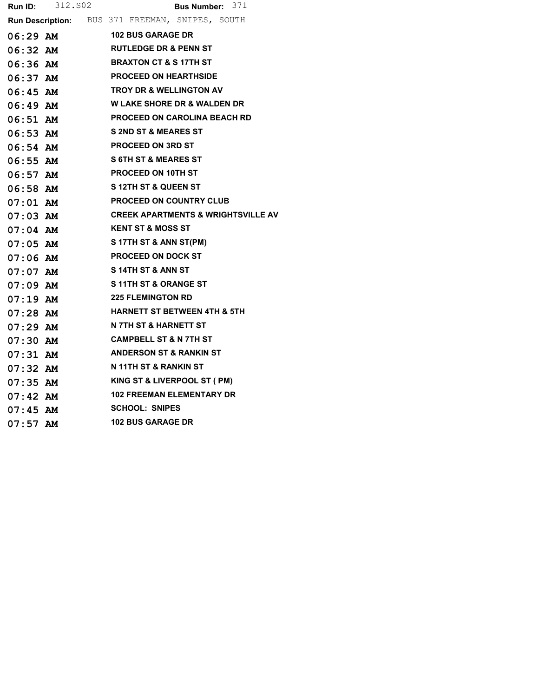| Run ID:    | 312.S02 | <b>Bus Number: 371</b>                          |
|------------|---------|-------------------------------------------------|
|            |         | Run Description: BUS 371 FREEMAN, SNIPES, SOUTH |
| $06:29$ AM |         | <b>102 BUS GARAGE DR</b>                        |
| 06:32 AM   |         | <b>RUTLEDGE DR &amp; PENN ST</b>                |
| $06:36$ AM |         | <b>BRAXTON CT &amp; S 17TH ST</b>               |
| $06:37$ AM |         | <b>PROCEED ON HEARTHSIDE</b>                    |
| $06:45$ AM |         | <b>TROY DR &amp; WELLINGTON AV</b>              |
| $06:49$ AM |         | <b>W LAKE SHORE DR &amp; WALDEN DR</b>          |
| 06:51 AM   |         | <b>PROCEED ON CAROLINA BEACH RD</b>             |
| 06:53 AM   |         | <b>S 2ND ST &amp; MEARES ST</b>                 |
| $06:54$ AM |         | <b>PROCEED ON 3RD ST</b>                        |
| $06:55$ AM |         | <b>S 6TH ST &amp; MEARES ST</b>                 |
| $06:57$ AM |         | <b>PROCEED ON 10TH ST</b>                       |
| $06:58$ AM |         | S 12TH ST & QUEEN ST                            |
| $07:01$ AM |         | <b>PROCEED ON COUNTRY CLUB</b>                  |
| $07:03$ AM |         | <b>CREEK APARTMENTS &amp; WRIGHTSVILLE AV</b>   |
| 07:04 AM   |         | <b>KENT ST &amp; MOSS ST</b>                    |
| $07:05$ AM |         | S 17TH ST & ANN ST(PM)                          |
| $07:06$ AM |         | <b>PROCEED ON DOCK ST</b>                       |
| $07:07$ AM |         | S 14TH ST & ANN ST                              |
| $07:09$ AM |         | <b>S 11TH ST &amp; ORANGE ST</b>                |
| $07:19$ AM |         | <b>225 FLEMINGTON RD</b>                        |
| $07:28$ AM |         | <b>HARNETT ST BETWEEN 4TH &amp; 5TH</b>         |
| $07:29$ AM |         | <b>N 7TH ST &amp; HARNETT ST</b>                |
| 07:30 AM   |         | <b>CAMPBELL ST &amp; N 7TH ST</b>               |
| $07:31$ AM |         | <b>ANDERSON ST &amp; RANKIN ST</b>              |
| $07:32$ AM |         | N 11TH ST & RANKIN ST                           |
| $07:35$ AM |         | KING ST & LIVERPOOL ST ( PM)                    |
| $07:42$ AM |         | <b>102 FREEMAN ELEMENTARY DR</b>                |
| $07:45$ AM |         | <b>SCHOOL: SNIPES</b>                           |
| $07:57$ AM |         | <b>102 BUS GARAGE DR</b>                        |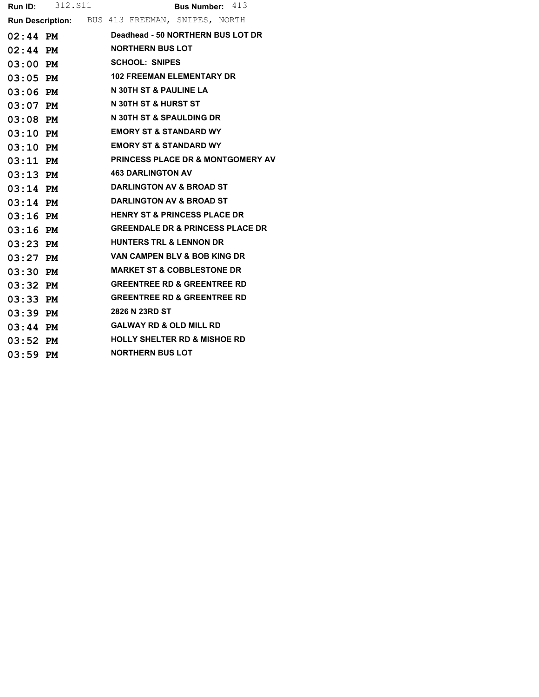| 312.S11<br><b>Bus Number:</b> $413$<br><b>Run ID:</b> |
|-------------------------------------------------------|
|-------------------------------------------------------|

Run Description: BUS 413 FREEMAN, SNIPES, NORTH

| $02:44$ PM | Deadhead - 50 NORTHERN BUS LOT DR            |
|------------|----------------------------------------------|
| $02:44$ PM | <b>NORTHERN BUS LOT</b>                      |
| $03:00$ PM | <b>SCHOOL: SNIPES</b>                        |
| $03:05$ PM | <b>102 FREEMAN ELEMENTARY DR</b>             |
| $03:06$ PM | N 30TH ST & PAULINE LA                       |
| $03:07$ PM | N 30TH ST & HURST ST                         |
| $03:08$ PM | N 30TH ST & SPAULDING DR                     |
| $03:10$ PM | <b>EMORY ST &amp; STANDARD WY</b>            |
| $03:10$ PM | <b>EMORY ST &amp; STANDARD WY</b>            |
| $03:11$ PM | <b>PRINCESS PLACE DR &amp; MONTGOMERY AV</b> |
| $03:13$ PM | <b>463 DARLINGTON AV</b>                     |
| $03:14$ PM | <b>DARLINGTON AV &amp; BROAD ST</b>          |
| $03:14$ PM | <b>DARLINGTON AV &amp; BROAD ST</b>          |
| $03:16$ PM | <b>HENRY ST &amp; PRINCESS PLACE DR</b>      |
| $03:16$ PM | <b>GREENDALE DR &amp; PRINCESS PLACE DR</b>  |
| $03:23$ PM | <b>HUNTERS TRL &amp; LENNON DR</b>           |
| $03:27$ PM | VAN CAMPEN BLV & BOB KING DR                 |
| $03:30$ PM | <b>MARKET ST &amp; COBBLESTONE DR</b>        |
| $03:32$ PM | <b>GREENTREE RD &amp; GREENTREE RD</b>       |
| $03:33$ PM | <b>GREENTREE RD &amp; GREENTREE RD</b>       |
| $03:39$ PM | 2826 N 23RD ST                               |
| $03:44$ PM | <b>GALWAY RD &amp; OLD MILL RD</b>           |
| $03:52$ PM | <b>HOLLY SHELTER RD &amp; MISHOE RD</b>      |
| $03:59$ PM | <b>NORTHERN BUS LOT</b>                      |